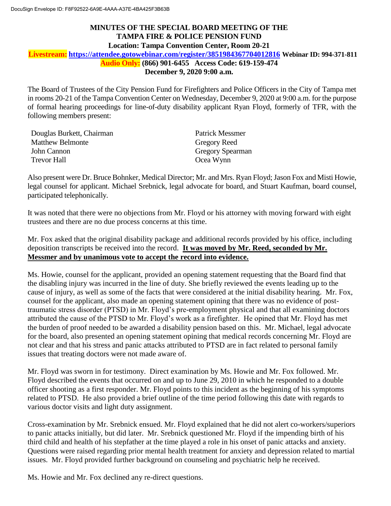## **MINUTES OF THE SPECIAL BOARD MEETING OF THE Location: Tampa Convention Center, Room 20-21 Livestream: https://attendee.gotowebinar.com/register/3851984367704012816 Webinar ID: 994-371-811 Audio Only: (866) 901-6455 Access Code: 619-159-474 TAMPA FIRE & POLICE PENSION FUND**

## **December 9, 2020 9:00 a.m.**

 The Board of Trustees of the City Pension Fund for Firefighters and Police Officers in the City of Tampa met in rooms 20-21 of the Tampa Convention Center on Wednesday, December 9, 2020 at 9:00 a.m. for the purpose of formal hearing proceedings for line-of-duty disability applicant Ryan Floyd, formerly of TFR, with the following members present:

| Douglas Burkett, Chairman | Patrick Messmer         |
|---------------------------|-------------------------|
| <b>Matthew Belmonte</b>   | <b>Gregory Reed</b>     |
| John Cannon               | <b>Gregory Spearman</b> |
| <b>Trevor Hall</b>        | Ocea Wynn               |

 Also present were Dr. Bruce Bohnker, Medical Director; Mr. and Mrs. Ryan Floyd; Jason Fox and Misti Howie, legal counsel for applicant. Michael Srebnick, legal advocate for board, and Stuart Kaufman, board counsel, participated telephonically.

It was noted that there were no objections from Mr. Floyd or his attorney with moving forward with eight trustees and there are no due process concerns at this time.

 deposition transcripts be received into the record. **It was moved by Mr. Reed, seconded by Mr.**  Mr. Fox asked that the original disability package and additional records provided by his office, including **Messmer and by unanimous vote to accept the record into evidence.** 

Ms. Howie, counsel for the applicant, provided an opening statement requesting that the Board find that the disabling injury was incurred in the line of duty. She briefly reviewed the events leading up to the cause of injury, as well as some of the facts that were considered at the initial disability hearing. Mr. Fox, counsel for the applicant, also made an opening statement opining that there was no evidence of posttraumatic stress disorder (PTSD) in Mr. Floyd's pre-employment physical and that all examining doctors attributed the cause of the PTSD to Mr. Floyd's work as a firefighter. He opined that Mr. Floyd has met the burden of proof needed to be awarded a disability pension based on this. Mr. Michael, legal advocate for the board, also presented an opening statement opining that medical records concerning Mr. Floyd are not clear and that his stress and panic attacks attributed to PTSD are in fact related to personal family issues that treating doctors were not made aware of.

Mr. Floyd was sworn in for testimony. Direct examination by Ms. Howie and Mr. Fox followed. Mr. Floyd described the events that occurred on and up to June 29, 2010 in which he responded to a double officer shooting as a first responder. Mr. Floyd points to this incident as the beginning of his symptoms related to PTSD. He also provided a brief outline of the time period following this date with regards to various doctor visits and light duty assignment.

 issues. Mr. Floyd provided further background on counseling and psychiatric help he received. Cross-examination by Mr. Srebnick ensued. Mr. Floyd explained that he did not alert co-workers/superiors to panic attacks initially, but did later. Mr. Srebnick questioned Mr. Floyd if the impending birth of his third child and health of his stepfather at the time played a role in his onset of panic attacks and anxiety. Questions were raised regarding prior mental health treatment for anxiety and depression related to martial

Ms. Howie and Mr. Fox declined any re-direct questions.